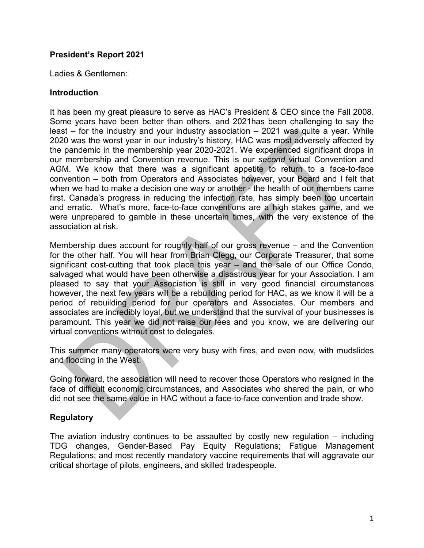## **President's Report 2021**

Ladies & Gentlemen:

## **Introduction**

It has been my great pleasure to serve as HAC's President & CEO since the Fall 2008. Some years have been better than others, and 2021has been challenging to say the least – for the industry and your industry association – 2021 was quite a year. While 2020 was the worst year in our industry's history, HAC was most adversely affected by the pandemic in the membership year 2020-2021. We experienced significant drops in our membership and Convention revenue. This is our *second* virtual Convention and AGM. We know that there was a significant appetite to return to a face-to-face convention – both from Operators and Associates however, your Board and I felt that when we had to make a decision one way or another - the health of our members came first. Canada's progress in reducing the infection rate, has simply been too uncertain and erratic. What's more, face-to-face conventions are a high stakes game, and we were unprepared to gamble in these uncertain times, with the very existence of the association at risk.

Membership dues account for roughly half of our gross revenue – and the Convention for the other half. You will hear from Brian Clegg, our Corporate Treasurer, that some significant cost-cutting that took place this year – and the sale of our Office Condo, salvaged what would have been otherwise a disastrous year for your Association. I am pleased to say that your Association is still in very good financial circumstances however, the next few years will be a rebuilding period for HAC, as we know it will be a period of rebuilding period for our operators and Associates. Our members and associates are incredibly loyal, but we understand that the survival of your businesses is paramount. This year we did not raise our fees and you know, we are delivering our virtual conventions without cost to delegates.

This summer many operators were very busy with fires, and even now, with mudslides and flooding in the West.

Going forward, the association will need to recover those Operators who resigned in the face of difficult economic circumstances, and Associates who shared the pain, or who did not see the same value in HAC without a face-to-face convention and trade show.

## **Regulatory**

The aviation industry continues to be assaulted by costly new regulation – including TDG changes, Gender-Based Pay Equity Regulations; Fatigue Management Regulations; and most recently mandatory vaccine requirements that will aggravate our critical shortage of pilots, engineers, and skilled tradespeople.